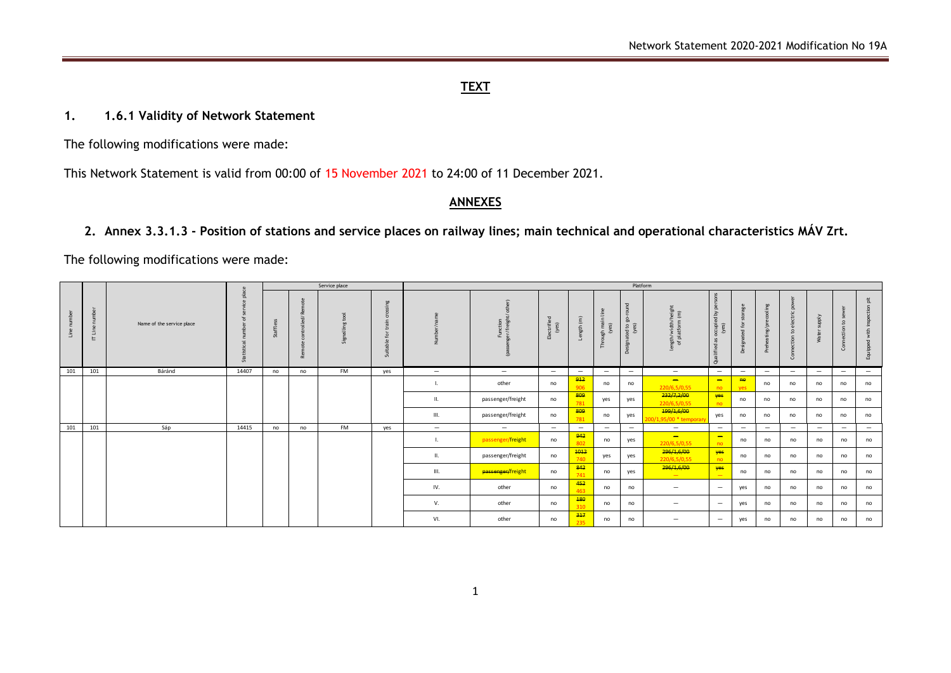### **TEXT**

#### **1. 1.6.1 Validity of Network Statement**

The following modifications were made:

This Network Statement is valid from 00:00 of 15 November 2021 to 24:00 of 11 December 2021.

#### **ANNEXES**

### **2. Annex 3.3.1.3 - Position of stations and service places on railway lines; main technical and operational characteristics MÁV Zrt.**

The following modifications were made:

|            |                            |                           | $\mathbf{a}$                    | Service place |                                                    |                             |        | Platform                 |                                    |                                    |                                           |                                 |                                  |                                          |                                                                                                                         |                          |                               |                                 |                          |                                   |                                |
|------------|----------------------------|---------------------------|---------------------------------|---------------|----------------------------------------------------|-----------------------------|--------|--------------------------|------------------------------------|------------------------------------|-------------------------------------------|---------------------------------|----------------------------------|------------------------------------------|-------------------------------------------------------------------------------------------------------------------------|--------------------------|-------------------------------|---------------------------------|--------------------------|-----------------------------------|--------------------------------|
| $\epsilon$ | ≏<br>$\epsilon$<br>э.<br>E | Name of the service place | 음<br>$\overline{a}$<br>Statisti | affle<br>ä    | œ<br>$\tilde{\tau}$<br>trolle<br>r.<br>$\cup$<br>ž | ಕ<br>$\mathbf{S}$<br>€<br>5 | a<br>್ |                          | $\overline{\phantom{0}}$<br>∸<br>₫ | <b>TI</b><br>ctrifie<br>(yes)<br>읍 | $\widehat{\mathsf{E}}$<br>$\frac{45}{90}$ | $\epsilon$<br>nai<br>등 원<br>舌   | $\Omega$<br>ea<br>A<br>$\bigcap$ | ਗ ਵਿੱ<br>ngth/width/l<br>of platform     | $\Omega$<br>೭<br>$\geq$<br>$\mathcal{L}$<br>ccupies)<br>$\ddot{\circ}$<br>as<br>$\mathbf{\sigma}$<br>$\frac{1}{2}$<br>ō | e <sub>e</sub><br>Õ.     | ecooling<br>ating/pre<br>Preh | ctric<br>ೆ<br>$\epsilon$<br>.S  | kjddr<br>⋍<br>ę          | ့္<br>$\mathbf{S}$<br>ction<br>S. | $\Delta$<br>with<br>ipped<br>훕 |
| 101        | 101                        | Báránd                    | 14407                           | no            | no                                                 | FM                          | yes    | $\overline{\phantom{0}}$ | $\overline{\phantom{0}}$           | $-$                                |                                           | $\hspace{0.1mm}-\hspace{0.1mm}$ | $-$                              | $-$                                      | $-$                                                                                                                     | $\overline{\phantom{0}}$ | $\overline{\phantom{0}}$      | $\overline{\phantom{a}}$        | $-$                      | $-$                               |                                |
|            |                            |                           |                                 |               |                                                    |                             |        |                          | other                              | no                                 | 912<br>906                                | no                              | no                               | $\overline{\phantom{0}}$<br>220/6.5/0.55 | $\overline{\phantom{0}}$<br>no                                                                                          | H <sub>0</sub><br>ves    | no                            | no                              | no                       | no                                | no                             |
|            |                            |                           |                                 |               |                                                    |                             |        | Ш.                       | passenger/freight                  | no                                 | 809<br>781                                | yes                             | yes                              | 232/7,2/00<br>220/6,5/0,55               | yes<br>no                                                                                                               | no                       | no                            | no                              | no                       | no                                | no                             |
|            |                            |                           |                                 |               |                                                    |                             |        | III.                     | passenger/freight                  | no                                 | 809<br>781                                | no                              | yes                              | 199/1,6/00<br>.95/00 * temporary         | yes                                                                                                                     | no                       | no                            | no                              | no                       | no                                | no                             |
| 101        | 101                        | Sáp                       | 14415                           | no            | no                                                 | <b>FM</b>                   | yes    | $-$                      | $-$                                | $\overline{\phantom{m}}$           |                                           | $\overline{\phantom{0}}$        | $\overline{\phantom{0}}$         | $\overline{\phantom{a}}$                 | $-$                                                                                                                     | $-$                      | $\qquad \qquad -$             | $\hspace{0.1mm}-\hspace{0.1mm}$ | $\overline{\phantom{0}}$ | $\qquad \qquad -$                 | $\overline{\phantom{m}}$       |
|            |                            |                           |                                 |               |                                                    |                             |        | ш.                       | passenger/freight                  | no                                 | 942<br>802                                | no                              | yes                              | $\equiv$<br>220/6,5/0,55                 | $\overline{\phantom{0}}$<br>no.                                                                                         | no                       | no                            | no                              | no                       | no                                | no                             |
|            |                            |                           |                                 |               |                                                    |                             |        | $\mathbf{II}$            | passenger/freight                  | no                                 | 4012<br>740                               | yes                             | yes                              | 296/1,6/00<br>220/6.5/0.55               | yes<br>no.                                                                                                              | no                       | no                            | no                              | no                       | no                                | no                             |
|            |                            |                           |                                 |               |                                                    |                             |        | III.                     | passenger/freight                  | no                                 | 842<br>741                                | no                              | yes                              | 296/1,6/00<br>$\sim$                     | yes<br>$\overline{\phantom{a}}$                                                                                         | no                       | no                            | no                              | no                       | no                                | no                             |
|            |                            |                           |                                 |               |                                                    |                             |        | IV.                      | other                              | no                                 | 452<br>463                                | no                              | no                               | $-$                                      | $-$                                                                                                                     | yes                      | no                            | no                              | no                       | no                                | no                             |
|            |                            |                           |                                 |               |                                                    |                             |        | V.                       | other                              | no                                 | 180<br>310                                | no                              | no                               | $-$                                      | $-$                                                                                                                     | yes                      | no                            | no                              | no                       | no                                | no                             |
|            |                            |                           |                                 |               |                                                    |                             |        | VI.                      | other                              | no                                 | 317<br>235                                | no                              | no                               | $\overline{\phantom{0}}$                 | $\overline{\phantom{0}}$                                                                                                | yes                      | no                            | no                              | no                       | no                                | no                             |